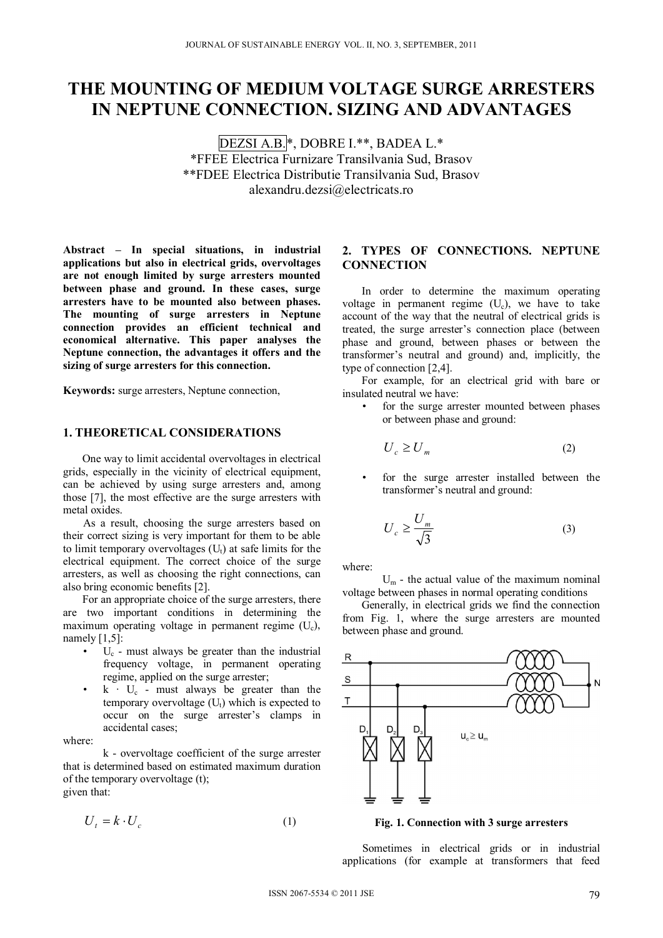# **THE MOUNTING OF MEDIUM VOLTAGE SURGE ARRESTERS IN NEPTUNE CONNECTION. SIZING AND ADVANTAGES**

DEZSI A.B.\*, DOBRE I.\*\*, BADEA L.\* \*FFEE Electrica Furnizare Transilvania Sud, Brasov \*\*FDEE Electrica Distributie Transilvania Sud, Brasov alexandru.dezsi@electricats.ro

**Abstract – In special situations, in industrial applications but also in electrical grids, overvoltages are not enough limited by surge arresters mounted between phase and ground. In these cases, surge arresters have to be mounted also between phases. The mounting of surge arresters in Neptune connection provides an efficient technical and economical alternative. This paper analyses the Neptune connection, the advantages it offers and the sizing of surge arresters for this connection.** 

**Keywords:** surge arresters, Neptune connection,

## **1. THEORETICAL CONSIDERATIONS**

 One way to limit accidental overvoltages in electrical grids, especially in the vicinity of electrical equipment, can be achieved by using surge arresters and, among those [7], the most effective are the surge arresters with metal oxides.

As a result, choosing the surge arresters based on their correct sizing is very important for them to be able to limit temporary overvoltages  $(U_t)$  at safe limits for the electrical equipment. The correct choice of the surge arresters, as well as choosing the right connections, can also bring economic benefits [2].

 For an appropriate choice of the surge arresters, there are two important conditions in determining the maximum operating voltage in permanent regime (Uc), namely [1,5]:

- Uc must always be greater than the industrial frequency voltage, in permanent operating regime, applied on the surge arrester;
- $k \cdot U_c$  must always be greater than the temporary overvoltage  $(U_t)$  which is expected to occur on the surge arrester's clamps in accidental cases;

where:

k - overvoltage coefficient of the surge arrester that is determined based on estimated maximum duration of the temporary overvoltage (t); given that:

$$
U_t = k \cdot U_c \tag{1}
$$

## **2. TYPES OF CONNECTIONS. NEPTUNE CONNECTION**

 In order to determine the maximum operating voltage in permanent regime  $(U_c)$ , we have to take account of the way that the neutral of electrical grids is treated, the surge arrester's connection place (between phase and ground, between phases or between the transformer's neutral and ground) and, implicitly, the type of connection [2,4].

 For example, for an electrical grid with bare or insulated neutral we have:

for the surge arrester mounted between phases or between phase and ground:

$$
U_c \ge U_m \tag{2}
$$

for the surge arrester installed between the transformer's neutral and ground:

$$
U_c \ge \frac{U_m}{\sqrt{3}}\tag{3}
$$

where:

 $U_m$  - the actual value of the maximum nominal voltage between phases in normal operating conditions

 Generally, in electrical grids we find the connection from Fig. 1, where the surge arresters are mounted between phase and ground.



**Fig. 1. Connection with 3 surge arresters** 

Sometimes in electrical grids or in industrial applications (for example at transformers that feed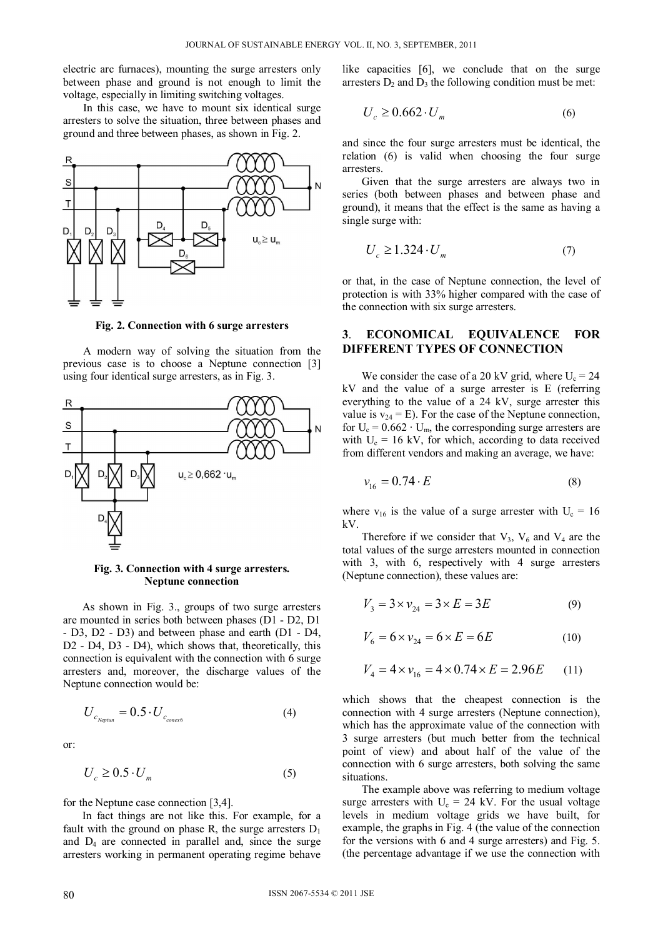electric arc furnaces), mounting the surge arresters only between phase and ground is not enough to limit the voltage, especially in limiting switching voltages.

In this case, we have to mount six identical surge arresters to solve the situation, three between phases and ground and three between phases, as shown in Fig. 2.



**Fig. 2. Connection with 6 surge arresters** 

A modern way of solving the situation from the previous case is to choose a Neptune connection [3] using four identical surge arresters, as in Fig. 3.



#### **Fig. 3. Connection with 4 surge arresters. Neptune connection**

 As shown in Fig. 3., groups of two surge arresters are mounted in series both between phases (D1 - D2, D1 - D3, D2 - D3) and between phase and earth (D1 - D4, D2 - D4, D3 - D4), which shows that, theoretically, this connection is equivalent with the connection with 6 surge arresters and, moreover, the discharge values of the Neptune connection would be:

$$
U_{c_{Nepun}} = 0.5 \cdot U_{c_{conex6}}
$$
 (4)

or:

$$
U_c \ge 0.5 \cdot U_m \tag{5}
$$

for the Neptune case connection [3,4].

 In fact things are not like this. For example, for a fault with the ground on phase R, the surge arresters  $D_1$ and  $D_4$  are connected in parallel and, since the surge arresters working in permanent operating regime behave like capacities [6], we conclude that on the surge arresters  $D_2$  and  $D_3$  the following condition must be met:

$$
U_c \ge 0.662 \cdot U_m \tag{6}
$$

and since the four surge arresters must be identical, the relation (6) is valid when choosing the four surge arresters.

 Given that the surge arresters are always two in series (both between phases and between phase and ground), it means that the effect is the same as having a single surge with:

$$
U_c \ge 1.324 \cdot U_m \tag{7}
$$

or that, in the case of Neptune connection, the level of protection is with 33% higher compared with the case of the connection with six surge arresters.

## **3**. **ECONOMICAL EQUIVALENCE FOR DIFFERENT TYPES OF CONNECTION**

We consider the case of a 20 kV grid, where  $U_c = 24$ kV and the value of a surge arrester is E (referring everything to the value of a 24 kV, surge arrester this value is  $v_{24} = E$ ). For the case of the Neptune connection, for  $U_c = 0.662 \cdot U_m$ , the corresponding surge arresters are with  $U_c = 16$  kV, for which, according to data received from different vendors and making an average, we have:

$$
v_{16} = 0.74 \cdot E \tag{8}
$$

where  $v_{16}$  is the value of a surge arrester with  $U_c = 16$ kV.

Therefore if we consider that  $V_3$ ,  $V_6$  and  $V_4$  are the total values of the surge arresters mounted in connection with 3, with 6, respectively with 4 surge arresters (Neptune connection), these values are:

$$
V_3 = 3 \times v_{24} = 3 \times E = 3E \tag{9}
$$

$$
V_6 = 6 \times v_{24} = 6 \times E = 6E \tag{10}
$$

$$
V_4 = 4 \times v_{16} = 4 \times 0.74 \times E = 2.96E \tag{11}
$$

which shows that the cheapest connection is the connection with 4 surge arresters (Neptune connection), which has the approximate value of the connection with 3 surge arresters (but much better from the technical point of view) and about half of the value of the connection with 6 surge arresters, both solving the same situations.

 The example above was referring to medium voltage surge arresters with  $U_c = 24$  kV. For the usual voltage levels in medium voltage grids we have built, for example, the graphs in Fig. 4 (the value of the connection for the versions with 6 and 4 surge arresters) and Fig. 5. (the percentage advantage if we use the connection with